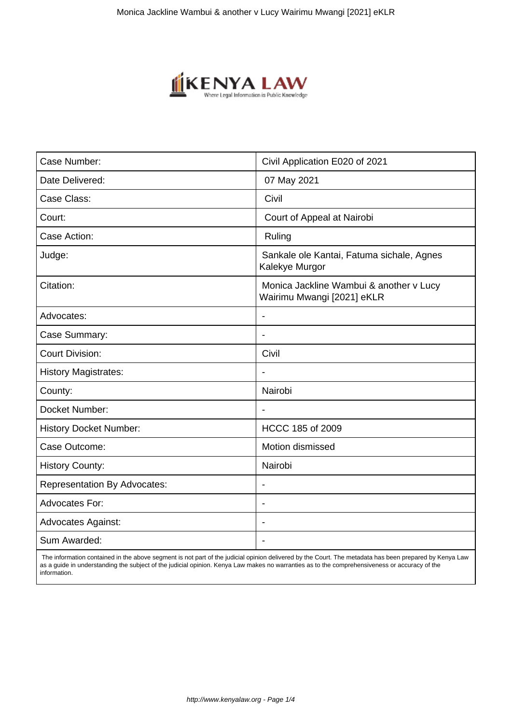

 The information contained in the above segment is not part of the judicial opinion delivered by the Court. The metadata has been prepared by Kenya Law as a guide in understanding the subject of the judicial opinion. Kenya Law makes no warranties as to the comprehensiveness or accuracy of the information.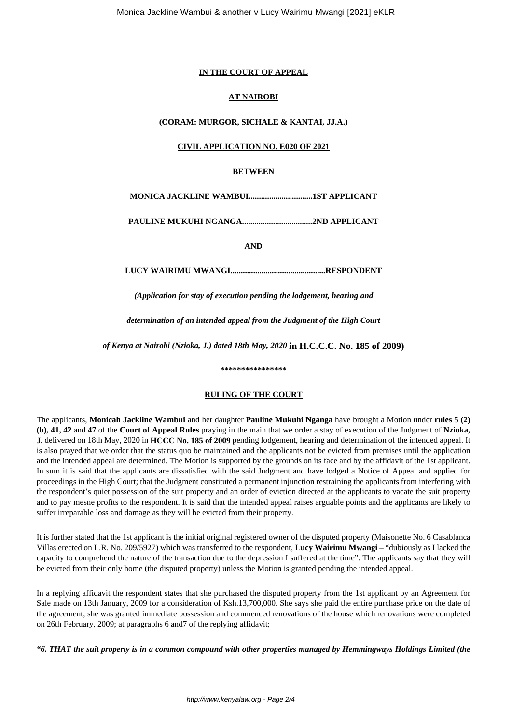### **IN THE COURT OF APPEAL**

### **AT NAIROBI**

## **(CORAM: MURGOR, SICHALE & KANTAI, JJ.A.)**

### **CIVIL APPLICATION NO. E020 OF 2021**

### **BETWEEN**

**MONICA JACKLINE WAMBUI...............................1ST APPLICANT**

**PAULINE MUKUHI NGANGA..................................2ND APPLICANT**

**AND**

**LUCY WAIRIMU MWANGI..............................................RESPONDENT**

*(Application for stay of execution pending the lodgement, hearing and*

*determination of an intended appeal from the Judgment of the High Court*

*of Kenya at Nairobi (Nzioka, J.) dated 18th May, 2020* **in H.C.C.C. No. 185 of 2009)**

#### **\*\*\*\*\*\*\*\*\*\*\*\*\*\*\*\***

### **RULING OF THE COURT**

The applicants, **Monicah Jackline Wambui** and her daughter **Pauline Mukuhi Nganga** have brought a Motion under **rules 5 (2) (b), 41, 42** and **47** of the **Court of Appeal Rules** praying in the main that we order a stay of execution of the Judgment of **Nzioka, J.** delivered on 18th May, 2020 in **HCCC No. 185 of 2009** pending lodgement, hearing and determination of the intended appeal. It is also prayed that we order that the status quo be maintained and the applicants not be evicted from premises until the application and the intended appeal are determined. The Motion is supported by the grounds on its face and by the affidavit of the 1st applicant. In sum it is said that the applicants are dissatisfied with the said Judgment and have lodged a Notice of Appeal and applied for proceedings in the High Court; that the Judgment constituted a permanent injunction restraining the applicants from interfering with the respondent's quiet possession of the suit property and an order of eviction directed at the applicants to vacate the suit property and to pay mesne profits to the respondent. It is said that the intended appeal raises arguable points and the applicants are likely to suffer irreparable loss and damage as they will be evicted from their property.

It is further stated that the 1st applicant is the initial original registered owner of the disputed property (Maisonette No. 6 Casablanca Villas erected on L.R. No. 209/5927) which was transferred to the respondent, **Lucy Wairimu Mwangi** – "dubiously as I lacked the capacity to comprehend the nature of the transaction due to the depression I suffered at the time". The applicants say that they will be evicted from their only home (the disputed property) unless the Motion is granted pending the intended appeal.

In a replying affidavit the respondent states that she purchased the disputed property from the 1st applicant by an Agreement for Sale made on 13th January, 2009 for a consideration of Ksh.13,700,000. She says she paid the entire purchase price on the date of the agreement; she was granted immediate possession and commenced renovations of the house which renovations were completed on 26th February, 2009; at paragraphs 6 and7 of the replying affidavit;

*"6. THAT the suit property is in a common compound with other properties managed by Hemmingways Holdings Limited (the*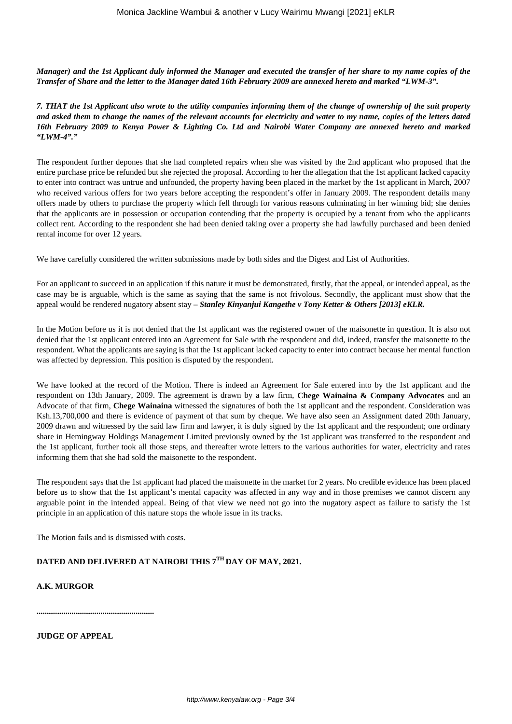*Manager) and the 1st Applicant duly informed the Manager and executed the transfer of her share to my name copies of the Transfer of Share and the letter to the Manager dated 16th February 2009 are annexed hereto and marked "LWM-3".*

*7. THAT the 1st Applicant also wrote to the utility companies informing them of the change of ownership of the suit property and asked them to change the names of the relevant accounts for electricity and water to my name, copies of the letters dated 16th February 2009 to Kenya Power & Lighting Co. Ltd and Nairobi Water Company are annexed hereto and marked "LWM-4"."*

The respondent further depones that she had completed repairs when she was visited by the 2nd applicant who proposed that the entire purchase price be refunded but she rejected the proposal. According to her the allegation that the 1st applicant lacked capacity to enter into contract was untrue and unfounded, the property having been placed in the market by the 1st applicant in March, 2007 who received various offers for two years before accepting the respondent's offer in January 2009. The respondent details many offers made by others to purchase the property which fell through for various reasons culminating in her winning bid; she denies that the applicants are in possession or occupation contending that the property is occupied by a tenant from who the applicants collect rent. According to the respondent she had been denied taking over a property she had lawfully purchased and been denied rental income for over 12 years.

We have carefully considered the written submissions made by both sides and the Digest and List of Authorities.

For an applicant to succeed in an application if this nature it must be demonstrated, firstly, that the appeal, or intended appeal, as the case may be is arguable, which is the same as saying that the same is not frivolous. Secondly, the applicant must show that the appeal would be rendered nugatory absent stay – *Stanley Kinyanjui Kangethe v Tony Ketter & Others [2013] eKLR.*

In the Motion before us it is not denied that the 1st applicant was the registered owner of the maisonette in question. It is also not denied that the 1st applicant entered into an Agreement for Sale with the respondent and did, indeed, transfer the maisonette to the respondent. What the applicants are saying is that the 1st applicant lacked capacity to enter into contract because her mental function was affected by depression. This position is disputed by the respondent.

We have looked at the record of the Motion. There is indeed an Agreement for Sale entered into by the 1st applicant and the respondent on 13th January, 2009. The agreement is drawn by a law firm, **Chege Wainaina & Company Advocates** and an Advocate of that firm, **Chege Wainaina** witnessed the signatures of both the 1st applicant and the respondent. Consideration was Ksh.13,700,000 and there is evidence of payment of that sum by cheque. We have also seen an Assignment dated 20th January, 2009 drawn and witnessed by the said law firm and lawyer, it is duly signed by the 1st applicant and the respondent; one ordinary share in Hemingway Holdings Management Limited previously owned by the 1st applicant was transferred to the respondent and the 1st applicant, further took all those steps, and thereafter wrote letters to the various authorities for water, electricity and rates informing them that she had sold the maisonette to the respondent.

The respondent says that the 1st applicant had placed the maisonette in the market for 2 years. No credible evidence has been placed before us to show that the 1st applicant's mental capacity was affected in any way and in those premises we cannot discern any arguable point in the intended appeal. Being of that view we need not go into the nugatory aspect as failure to satisfy the 1st principle in an application of this nature stops the whole issue in its tracks.

The Motion fails and is dismissed with costs.

# **DATED AND DELIVERED AT NAIROBI THIS 7TH DAY OF MAY, 2021.**

## **A.K. MURGOR**

**.........................................................**

**JUDGE OF APPEAL**